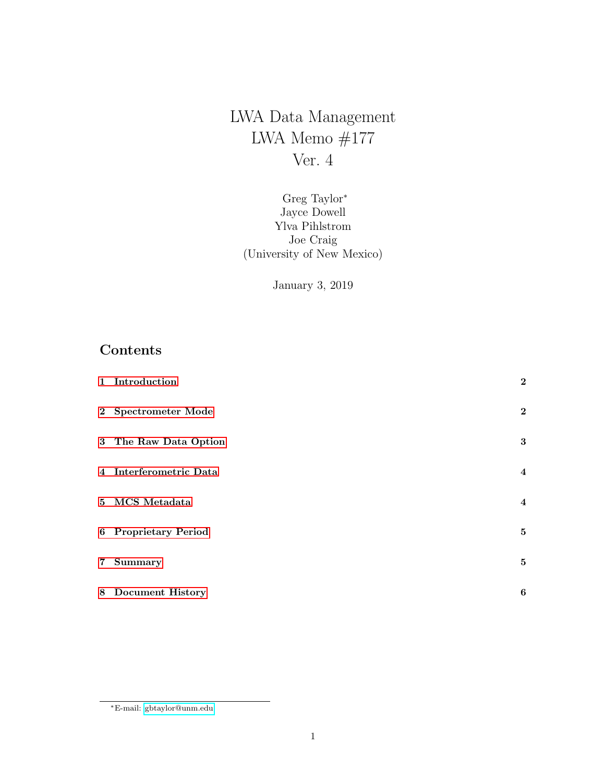LWA Data Management LWA Memo  $#177$ Ver. 4

Greg Taylor<sup>∗</sup> Jayce Dowell Ylva Pihlstrom Joe Craig (University of New Mexico)

January 3, 2019

# Contents

|                 | 1 Introduction         | $\mathbf{2}$   |
|-----------------|------------------------|----------------|
|                 | 2 Spectrometer Mode    | $\mathbf{2}$   |
|                 | 3 The Raw Data Option  | $\bf{3}$       |
|                 | 4 Interferometric Data | $\overline{4}$ |
|                 | 5 MCS Metadata         | $\overline{4}$ |
|                 | 6 Proprietary Period   | 5              |
| $7\overline{ }$ | Summary                | 5              |
|                 | 8 Document History     | 6              |

<sup>∗</sup>E-mail: [gbtaylor@unm.edu](mailto:gbtaylor@unm.edu)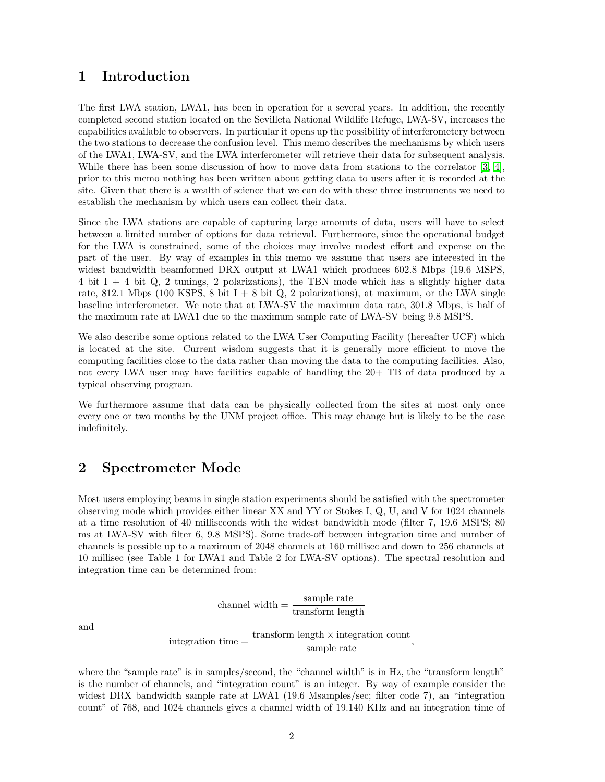#### <span id="page-1-0"></span>1 Introduction

The first LWA station, LWA1, has been in operation for a several years. In addition, the recently completed second station located on the Sevilleta National Wildlife Refuge, LWA-SV, increases the capabilities available to observers. In particular it opens up the possibility of interferometery between the two stations to decrease the confusion level. This memo describes the mechanisms by which users of the LWA1, LWA-SV, and the LWA interferometer will retrieve their data for subsequent analysis. While there has been some discussion of how to move data from stations to the correlator [\[3,](#page-5-1) [4\]](#page-5-2), prior to this memo nothing has been written about getting data to users after it is recorded at the site. Given that there is a wealth of science that we can do with these three instruments we need to establish the mechanism by which users can collect their data.

Since the LWA stations are capable of capturing large amounts of data, users will have to select between a limited number of options for data retrieval. Furthermore, since the operational budget for the LWA is constrained, some of the choices may involve modest effort and expense on the part of the user. By way of examples in this memo we assume that users are interested in the widest bandwidth beamformed DRX output at LWA1 which produces 602.8 Mbps (19.6 MSPS, 4 bit  $I + 4$  bit Q, 2 tunings, 2 polarizations), the TBN mode which has a slightly higher data rate, 812.1 Mbps (100 KSPS, 8 bit  $I + 8$  bit  $Q$ , 2 polarizations), at maximum, or the LWA single baseline interferometer. We note that at LWA-SV the maximum data rate, 301.8 Mbps, is half of the maximum rate at LWA1 due to the maximum sample rate of LWA-SV being 9.8 MSPS.

We also describe some options related to the LWA User Computing Facility (hereafter UCF) which is located at the site. Current wisdom suggests that it is generally more efficient to move the computing facilities close to the data rather than moving the data to the computing facilities. Also, not every LWA user may have facilities capable of handling the 20+ TB of data produced by a typical observing program.

We furthermore assume that data can be physically collected from the sites at most only once every one or two months by the UNM project office. This may change but is likely to be the case indefinitely.

#### <span id="page-1-1"></span>2 Spectrometer Mode

Most users employing beams in single station experiments should be satisfied with the spectrometer observing mode which provides either linear XX and YY or Stokes I, Q, U, and V for 1024 channels at a time resolution of 40 milliseconds with the widest bandwidth mode (filter 7, 19.6 MSPS; 80 ms at LWA-SV with filter 6, 9.8 MSPS). Some trade-off between integration time and number of channels is possible up to a maximum of 2048 channels at 160 millisec and down to 256 channels at 10 millisec (see Table 1 for LWA1 and Table 2 for LWA-SV options). The spectral resolution and integration time can be determined from:

channel width = 
$$
\frac{\text{sample rate}}{\text{transform length}}
$$

\nintegration time =  $\frac{\text{transform length} \times \text{integration count}}{\text{sample rate}}$ 

where the "sample rate" is in samples/second, the "channel width" is in Hz, the "transform length" is the number of channels, and "integration count" is an integer. By way of example consider the widest DRX bandwidth sample rate at LWA1 (19.6 Msamples/sec; filter code 7), an "integration count" of 768, and 1024 channels gives a channel width of 19.140 KHz and an integration time of

and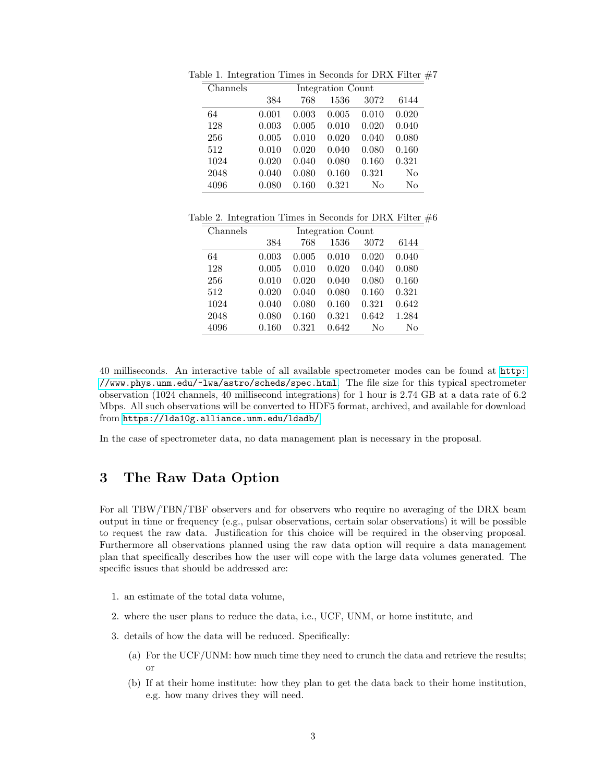| Channels | Integration Count |       |       |       |       |
|----------|-------------------|-------|-------|-------|-------|
|          | 384               | 768   | 1536  | 3072  | 6144  |
| 64       | 0.001             | 0.003 | 0.005 | 0.010 | 0.020 |
| 128      | 0.003             | 0.005 | 0.010 | 0.020 | 0.040 |
| 256      | 0.005             | 0.010 | 0.020 | 0.040 | 0.080 |
| 512      | 0.010             | 0.020 | 0.040 | 0.080 | 0.160 |
| 1024     | 0.020             | 0.040 | 0.080 | 0.160 | 0.321 |
| 2048     | 0.040             | 0.080 | 0.160 | 0.321 | No    |
| 4096     | 0.080             | 0.160 | 0.321 | No    | No    |

Table 1. Integration Times in Seconds for DRX Filter  $#7$ 

Table 2. Integration Times in Seconds for DRX Filter  $#6$ 

| Channels | Integration Count |       |       |       |       |  |  |
|----------|-------------------|-------|-------|-------|-------|--|--|
|          | 384               | 768   | 1536  | 3072  | 6144  |  |  |
| 64       | 0.003             | 0.005 | 0.010 | 0.020 | 0.040 |  |  |
| 128      | 0.005             | 0.010 | 0.020 | 0.040 | 0.080 |  |  |
| 256      | 0.010             | 0.020 | 0.040 | 0.080 | 0.160 |  |  |
| 512      | 0.020             | 0.040 | 0.080 | 0.160 | 0.321 |  |  |
| 1024     | 0.040             | 0.080 | 0.160 | 0.321 | 0.642 |  |  |
| 2048     | 0.080             | 0.160 | 0.321 | 0.642 | 1.284 |  |  |
| 4096     | 0.160             | 0.321 | 0.642 | No    | No    |  |  |

40 milliseconds. An interactive table of all available spectrometer modes can be found at [http:](http://www.phys.unm.edu/~lwa/astro/scheds/spec.html) [//www.phys.unm.edu/~lwa/astro/scheds/spec.html](http://www.phys.unm.edu/~lwa/astro/scheds/spec.html). The file size for this typical spectrometer observation (1024 channels, 40 millisecond integrations) for 1 hour is 2.74 GB at a data rate of 6.2 Mbps. All such observations will be converted to HDF5 format, archived, and available for download from <https://lda10g.alliance.unm.edu/ldadb/>.

In the case of spectrometer data, no data management plan is necessary in the proposal.

## <span id="page-2-0"></span>3 The Raw Data Option

For all TBW/TBN/TBF observers and for observers who require no averaging of the DRX beam output in time or frequency (e.g., pulsar observations, certain solar observations) it will be possible to request the raw data. Justification for this choice will be required in the observing proposal. Furthermore all observations planned using the raw data option will require a data management plan that specifically describes how the user will cope with the large data volumes generated. The specific issues that should be addressed are:

- 1. an estimate of the total data volume,
- 2. where the user plans to reduce the data, i.e., UCF, UNM, or home institute, and
- 3. details of how the data will be reduced. Specifically:
	- (a) For the UCF/UNM: how much time they need to crunch the data and retrieve the results; or
	- (b) If at their home institute: how they plan to get the data back to their home institution, e.g. how many drives they will need.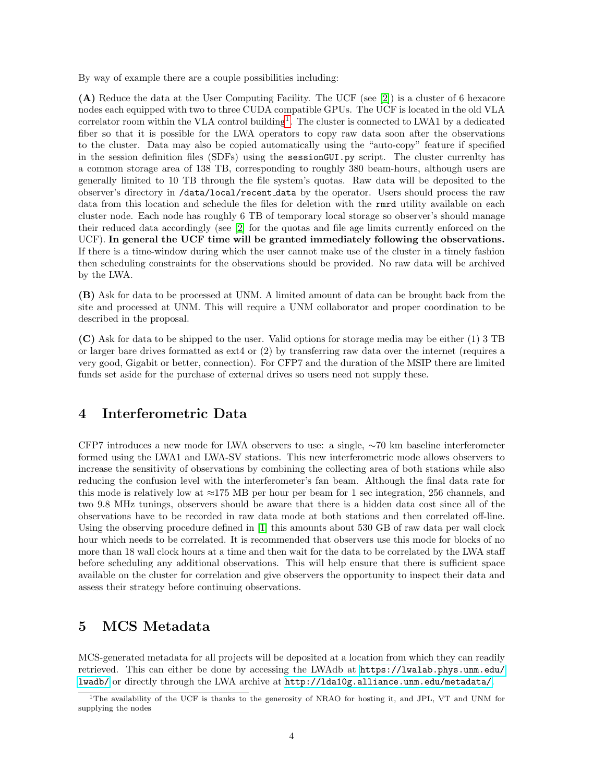By way of example there are a couple possibilities including:

(A) Reduce the data at the User Computing Facility. The UCF (see [\[2\]](#page-5-3)) is a cluster of 6 hexacore nodes each equipped with two to three CUDA compatible GPUs. The UCF is located in the old VLA correlator room within the VLA control building<sup>[1](#page-3-2)</sup>. The cluster is connected to LWA1 by a dedicated fiber so that it is possible for the LWA operators to copy raw data soon after the observations to the cluster. Data may also be copied automatically using the "auto-copy" feature if specified in the session definition files (SDFs) using the sessionGUI.py script. The cluster currenlty has a common storage area of 138 TB, corresponding to roughly 380 beam-hours, although users are generally limited to 10 TB through the file system's quotas. Raw data will be deposited to the observer's directory in /data/local/recent data by the operator. Users should process the raw data from this location and schedule the files for deletion with the rmrd utility available on each cluster node. Each node has roughly 6 TB of temporary local storage so observer's should manage their reduced data accordingly (see [\[2\]](#page-5-3) for the quotas and file age limits currently enforced on the UCF). In general the UCF time will be granted immediately following the observations. If there is a time-window during which the user cannot make use of the cluster in a timely fashion then scheduling constraints for the observations should be provided. No raw data will be archived by the LWA.

(B) Ask for data to be processed at UNM. A limited amount of data can be brought back from the site and processed at UNM. This will require a UNM collaborator and proper coordination to be described in the proposal.

(C) Ask for data to be shipped to the user. Valid options for storage media may be either (1) 3 TB or larger bare drives formatted as ext4 or (2) by transferring raw data over the internet (requires a very good, Gigabit or better, connection). For CFP7 and the duration of the MSIP there are limited funds set aside for the purchase of external drives so users need not supply these.

## <span id="page-3-0"></span>4 Interferometric Data

CFP7 introduces a new mode for LWA observers to use: a single, ∼70 km baseline interferometer formed using the LWA1 and LWA-SV stations. This new interferometric mode allows observers to increase the sensitivity of observations by combining the collecting area of both stations while also reducing the confusion level with the interferometer's fan beam. Although the final data rate for this mode is relatively low at  $\approx$ 175 MB per hour per beam for 1 sec integration, 256 channels, and two 9.8 MHz tunings, observers should be aware that there is a hidden data cost since all of the observations have to be recorded in raw data mode at both stations and then correlated off-line. Using the observing procedure defined in [\[1\]](#page-5-4) this amounts about 530 GB of raw data per wall clock hour which needs to be correlated. It is recommended that observers use this mode for blocks of no more than 18 wall clock hours at a time and then wait for the data to be correlated by the LWA staff before scheduling any additional observations. This will help ensure that there is sufficient space available on the cluster for correlation and give observers the opportunity to inspect their data and assess their strategy before continuing observations.

## <span id="page-3-1"></span>5 MCS Metadata

MCS-generated metadata for all projects will be deposited at a location from which they can readily retrieved. This can either be done by accessing the LWAdb at [https://lwalab.phys.unm.edu/](https://lwalab.phys.unm.edu/lwadb/) [lwadb/](https://lwalab.phys.unm.edu/lwadb/) or directly through the LWA archive at <http://lda10g.alliance.unm.edu/metadata/>.

<span id="page-3-2"></span><sup>1</sup>The availability of the UCF is thanks to the generosity of NRAO for hosting it, and JPL, VT and UNM for supplying the nodes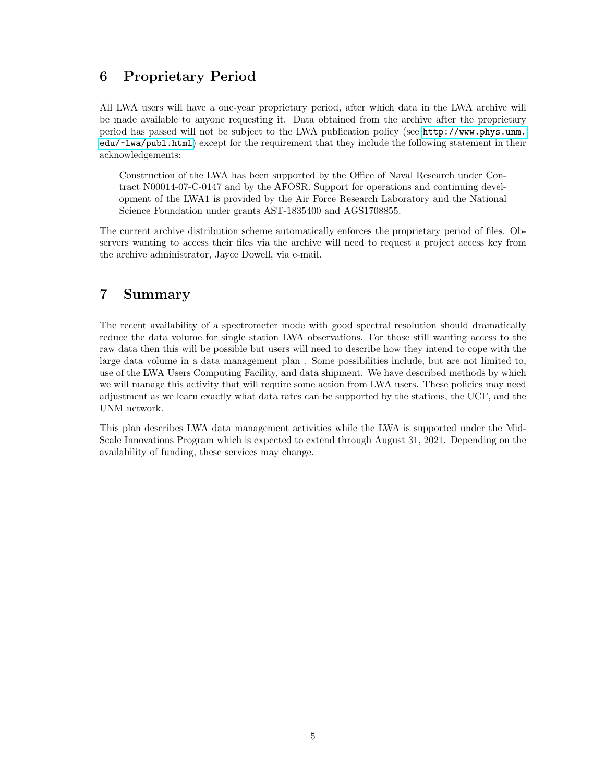## <span id="page-4-0"></span>6 Proprietary Period

All LWA users will have a one-year proprietary period, after which data in the LWA archive will be made available to anyone requesting it. Data obtained from the archive after the proprietary period has passed will not be subject to the LWA publication policy (see [http://www.phys.unm.](http://www.phys.unm.edu/~lwa/publ.html) [edu/~lwa/publ.html](http://www.phys.unm.edu/~lwa/publ.html)) except for the requirement that they include the following statement in their acknowledgements:

Construction of the LWA has been supported by the Office of Naval Research under Contract N00014-07-C-0147 and by the AFOSR. Support for operations and continuing development of the LWA1 is provided by the Air Force Research Laboratory and the National Science Foundation under grants AST-1835400 and AGS1708855.

The current archive distribution scheme automatically enforces the proprietary period of files. Observers wanting to access their files via the archive will need to request a project access key from the archive administrator, Jayce Dowell, via e-mail.

## <span id="page-4-1"></span>7 Summary

The recent availability of a spectrometer mode with good spectral resolution should dramatically reduce the data volume for single station LWA observations. For those still wanting access to the raw data then this will be possible but users will need to describe how they intend to cope with the large data volume in a data management plan . Some possibilities include, but are not limited to, use of the LWA Users Computing Facility, and data shipment. We have described methods by which we will manage this activity that will require some action from LWA users. These policies may need adjustment as we learn exactly what data rates can be supported by the stations, the UCF, and the UNM network.

This plan describes LWA data management activities while the LWA is supported under the Mid-Scale Innovations Program which is expected to extend through August 31, 2021. Depending on the availability of funding, these services may change.